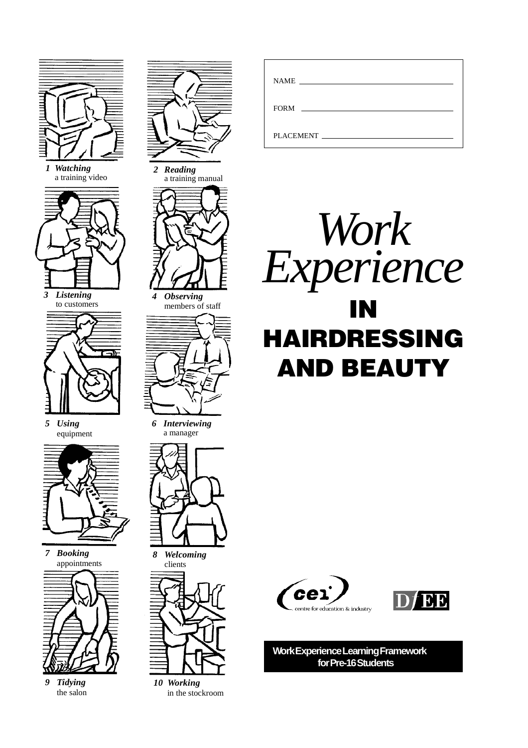

*1 Watching* a training video





*5 Using* equipment



*7 Booking* appointments



*9 Tidying* the salon





*10 Working* in the stockroom

| <b>NAME</b><br><u> 1989 - John Amerikaanse kommunister (</u>                                                                   |
|--------------------------------------------------------------------------------------------------------------------------------|
|                                                                                                                                |
| <b>FORM</b><br>the contract of the contract of the contract of the contract of the contract of the contract of the contract of |
|                                                                                                                                |
| PLACEMENT FILADE                                                                                                               |
|                                                                                                                                |







**Work Experience Learning Framework for Pre-16 Students**